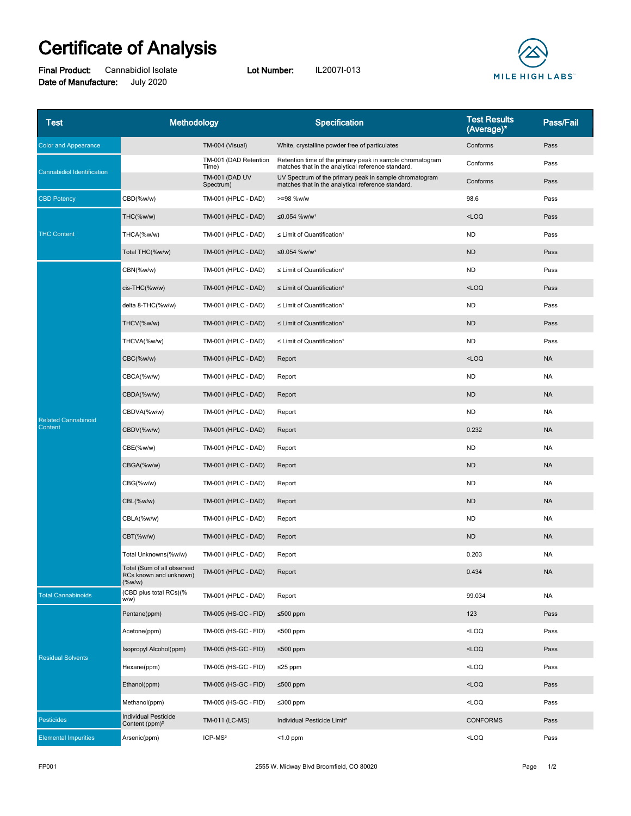## **Certificate of Analysis**

**Final Product:** Cannabidiol Isolate **Lot Number:** IL2007I-013 **Date of Manufacture:** July 2020



| <b>Test</b>                           | Methodology                                                       |                                    | Specification                                                                                                   | <b>Test Results</b><br>(Average)* | Pass/Fail |
|---------------------------------------|-------------------------------------------------------------------|------------------------------------|-----------------------------------------------------------------------------------------------------------------|-----------------------------------|-----------|
| <b>Color and Appearance</b>           |                                                                   | TM-004 (Visual)                    | White, crystalline powder free of particulates                                                                  | Conforms                          | Pass      |
| <b>Cannabidiol Identification</b>     |                                                                   | TM-001 (DAD Retention<br>Time)     | Retention time of the primary peak in sample chromatogram<br>matches that in the analytical reference standard. | Conforms                          | Pass      |
|                                       |                                                                   | <b>TM-001 (DAD UV</b><br>Spectrum) | UV Spectrum of the primary peak in sample chromatogram<br>matches that in the analytical reference standard.    | Conforms                          | Pass      |
| <b>CBD Potency</b>                    | CBD(%w/w)                                                         | TM-001 (HPLC - DAD)                | >=98 %w/w                                                                                                       | 98.6                              | Pass      |
| <b>THC Content</b>                    | THC(%w/w)                                                         | <b>TM-001 (HPLC - DAD)</b>         | ≤0.054 %w/w <sup>1</sup>                                                                                        | $<$ LOQ                           | Pass      |
|                                       | THCA(%w/w)                                                        | TM-001 (HPLC - DAD)                | $\leq$ Limit of Quantification <sup>1</sup>                                                                     | <b>ND</b>                         | Pass      |
|                                       | Total THC(%w/w)                                                   | <b>TM-001 (HPLC - DAD)</b>         | ≤0.054 %w/w <sup>1</sup>                                                                                        | <b>ND</b>                         | Pass      |
| <b>Related Cannabinoid</b><br>Content | CBN(%w/w)                                                         | TM-001 (HPLC - DAD)                | $\leq$ Limit of Quantification <sup>1</sup>                                                                     | <b>ND</b>                         | Pass      |
|                                       | cis-THC(%w/w)                                                     | <b>TM-001 (HPLC - DAD)</b>         | $\leq$ Limit of Quantification <sup>1</sup>                                                                     | $<$ LOQ                           | Pass      |
|                                       | delta 8-THC(%w/w)                                                 | TM-001 (HPLC - DAD)                | $\leq$ Limit of Quantification <sup>1</sup>                                                                     | <b>ND</b>                         | Pass      |
|                                       | THCV(%w/w)                                                        | TM-001 (HPLC - DAD)                | $\leq$ Limit of Quantification <sup>1</sup>                                                                     | <b>ND</b>                         | Pass      |
|                                       | THCVA(%w/w)                                                       | TM-001 (HPLC - DAD)                | $\leq$ Limit of Quantification <sup>1</sup>                                                                     | <b>ND</b>                         | Pass      |
|                                       | CBC(%w/w)                                                         | <b>TM-001 (HPLC - DAD)</b>         | Report                                                                                                          | $<$ LOQ                           | <b>NA</b> |
|                                       | CBCA(%w/w)                                                        | TM-001 (HPLC - DAD)                | Report                                                                                                          | <b>ND</b>                         | <b>NA</b> |
|                                       | CBDA(%w/w)                                                        | <b>TM-001 (HPLC - DAD)</b>         | Report                                                                                                          | <b>ND</b>                         | <b>NA</b> |
|                                       | CBDVA(%w/w)                                                       | TM-001 (HPLC - DAD)                | Report                                                                                                          | <b>ND</b>                         | <b>NA</b> |
|                                       | CBDV(%w/w)                                                        | <b>TM-001 (HPLC - DAD)</b>         | Report                                                                                                          | 0.232                             | <b>NA</b> |
|                                       | CBE(%w/w)                                                         | TM-001 (HPLC - DAD)                | Report                                                                                                          | <b>ND</b>                         | <b>NA</b> |
|                                       | CBGA(%w/w)                                                        | <b>TM-001 (HPLC - DAD)</b>         | Report                                                                                                          | <b>ND</b>                         | <b>NA</b> |
|                                       | CBG(%w/w)                                                         | TM-001 (HPLC - DAD)                | Report                                                                                                          | <b>ND</b>                         | <b>NA</b> |
|                                       | CBL(%w/w)                                                         | <b>TM-001 (HPLC - DAD)</b>         | Report                                                                                                          | <b>ND</b>                         | <b>NA</b> |
|                                       | CBLA(%w/w)                                                        | TM-001 (HPLC - DAD)                | Report                                                                                                          | <b>ND</b>                         | <b>NA</b> |
|                                       | CBT(%w/w)                                                         | <b>TM-001 (HPLC - DAD)</b>         | Report                                                                                                          | <b>ND</b>                         | <b>NA</b> |
|                                       | Total Unknowns(%w/w)                                              | TM-001 (HPLC - DAD)                | Report                                                                                                          | 0.203                             | <b>NA</b> |
|                                       | Total (Sum of all observed<br>RCs known and unknown)<br>$(\%w/w)$ | TM-001 (HPLC - DAD)                | Report                                                                                                          | 0.434                             | <b>NA</b> |
| <b>Total Cannabinoids</b>             | (CBD plus total RCs)(%<br>w/w)                                    | TM-001 (HPLC - DAD)                | Report                                                                                                          | 99.034                            | <b>NA</b> |
| <b>Residual Solvents</b>              | Pentane(ppm)                                                      | TM-005 (HS-GC - FID)               | ≤500 ppm                                                                                                        | 123                               | Pass      |
|                                       | Acetone(ppm)                                                      | TM-005 (HS-GC - FID)               | ≤500 ppm                                                                                                        | $<$ LOQ                           | Pass      |
|                                       | Isopropyl Alcohol(ppm)                                            | TM-005 (HS-GC - FID)               | ≤500 ppm                                                                                                        | $<$ LOQ                           | Pass      |
|                                       | Hexane(ppm)                                                       | TM-005 (HS-GC - FID)               | $\leq$ 25 ppm                                                                                                   | $<$ LOQ                           | Pass      |
|                                       | Ethanol(ppm)                                                      | TM-005 (HS-GC - FID)               | ≤500 ppm                                                                                                        | $<$ LOQ                           | Pass      |
|                                       | Methanol(ppm)                                                     | TM-005 (HS-GC - FID)               | ≤300 ppm                                                                                                        | $<$ LOQ                           | Pass      |
| Pesticides                            | <b>Individual Pesticide</b><br>Content (ppm) <sup>2</sup>         | TM-011 (LC-MS)                     | Individual Pesticide Limit <sup>2</sup>                                                                         | <b>CONFORMS</b>                   | Pass      |
| <b>Elemental Impurities</b>           | Arsenic(ppm)                                                      | ICP-MS <sup>3</sup>                | $<$ 1.0 ppm                                                                                                     | $<$ LOQ                           | Pass      |